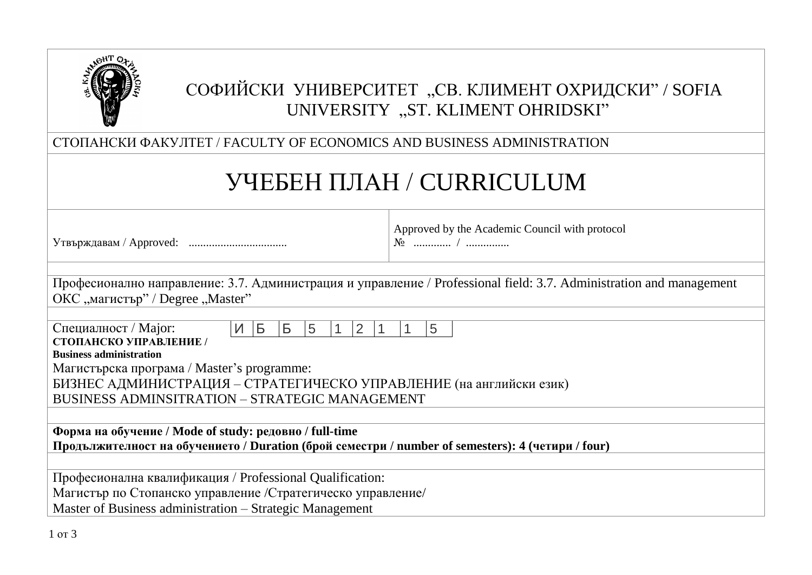

# СОФИЙСКИ УНИВЕРСИТЕТ "СВ. КЛИМЕНТ ОХРИДСКИ" / SOFIA UNIVERSITY "ST. KLIMENT OHRIDSKI"

СТОПАНСКИ ФАКУЛТЕТ / FACULTY OF ECONOMICS AND BUSINESS ADMINISTRATION

# УЧЕБЕН ПЛАН / CURRICULUM

Утвърждавам / Approved: ..................................

Approved by the Academic Council with protocol № ............. / ...............

Професионално направление: 3.7. Администрация и управление / Professional field: 3.7. Administration and management ОКС "магистър" / Degree "Master"

| Специалност / Major:                           | И Б                                                                                                               |  | $\overline{B}$ |  |  |  |  |  | 5 |  |  |
|------------------------------------------------|-------------------------------------------------------------------------------------------------------------------|--|----------------|--|--|--|--|--|---|--|--|
| СТОПАНСКО УПРАВЛЕНИЕ /                         |                                                                                                                   |  |                |  |  |  |  |  |   |  |  |
| <b>Business administration</b>                 |                                                                                                                   |  |                |  |  |  |  |  |   |  |  |
|                                                |                                                                                                                   |  | $\overline{5}$ |  |  |  |  |  |   |  |  |
|                                                | Магистърска програма / Master's programme:<br>БИЗНЕС АДМИНИСТРАЦИЯ – СТРАТЕГИЧЕСКО УПРАВЛЕНИЕ (на английски език) |  |                |  |  |  |  |  |   |  |  |
| BUSINESS ADMINSITRATION - STRATEGIC MANAGEMENT |                                                                                                                   |  |                |  |  |  |  |  |   |  |  |

**Форма на обучение / Mode of study: редовно / full-time Продължителност на обучението / Duration (брой семестри / number of semesters): 4 (четири / four)**

Професионална квалификация / Professional Qualification: Магистър по Стопанско управление /Стратегическо управление/

Master of Business administration – Strategic Management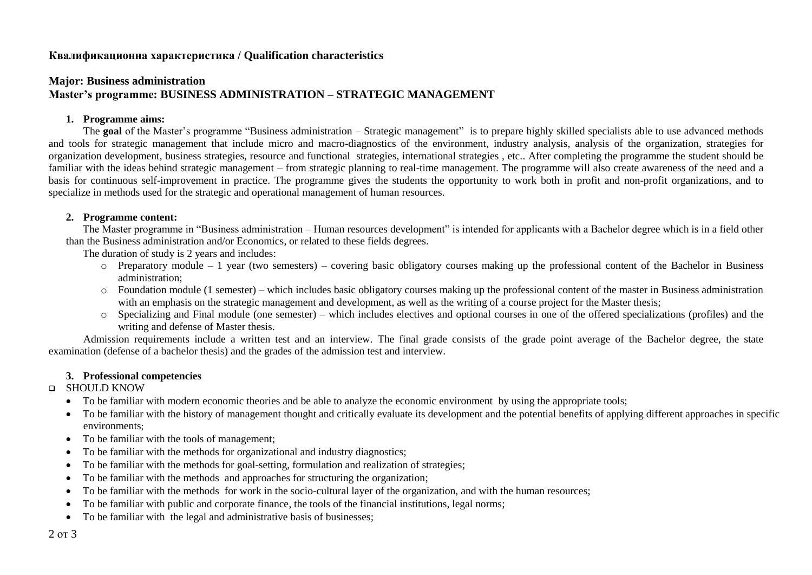### **Квалификационна характеристика / Qualification characteristics**

# **Major: Business administration Master's programme: BUSINESS ADMINISTRATION – STRATEGIC MANAGEMENT**

#### **1. Programme aims:**

The **goal** of the Master's programme "Business administration – Strategic management" is to prepare highly skilled specialists able to use advanced methods and tools for strategic management that include micro and macro-diagnostics of the environment, industry analysis, analysis of the organization, strategies for organization development, business strategies, resource and functional strategies, international strategies , etc.. After completing the programme the student should be familiar with the ideas behind strategic management – from strategic planning to real-time management. The programme will also create awareness of the need and a basis for continuous self-improvement in practice. The programme gives the students the opportunity to work both in profit and non-profit organizations, and to specialize in methods used for the strategic and operational management of human resources.

#### **2. Programme content:**

The Master programme in "Business administration – Human resources development" is intended for applicants with a Bachelor degree which is in a field other than the Business administration and/or Economics, or related to these fields degrees.

The duration of study is 2 years and includes:

- o Preparatory module 1 year (two semesters) covering basic obligatory courses making up the professional content of the Bachelor in Business administration;
- o Foundation module (1 semester) which includes basic obligatory courses making up the professional content of the master in Business administration with an emphasis on the strategic management and development, as well as the writing of a course project for the Master thesis;
- o Specializing and Final module (one semester) which includes electives and optional courses in one of the offered specializations (profiles) and the writing and defense of Master thesis.

Admission requirements include a written test and an interview. The final grade consists of the grade point average of the Bachelor degree, the state examination (defense of a bachelor thesis) and the grades of the admission test and interview.

#### **3. Professional competencies**

#### **Q** SHOULD KNOW

- To be familiar with modern economic theories and be able to analyze the economic environment by using the appropriate tools;
- To be familiar with the history of management thought and critically evaluate its development and the potential benefits of applying different approaches in specific environments;
- To be familiar with the tools of management:
- To be familiar with the methods for organizational and industry diagnostics:
- To be familiar with the methods for goal-setting, formulation and realization of strategies;
- To be familiar with the methods and approaches for structuring the organization;
- To be familiar with the methods for work in the socio-cultural layer of the organization, and with the human resources;
- To be familiar with public and corporate finance, the tools of the financial institutions, legal norms;
- To be familiar with the legal and administrative basis of businesses;